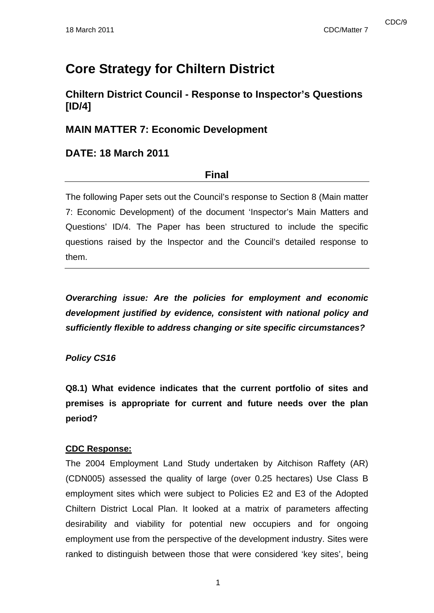# **Core Strategy for Chiltern District**

# **Chiltern District Council - Response to Inspector's Questions [ID/4]**

# **MAIN MATTER 7: Economic Development**

# **DATE: 18 March 2011**

# **Final**

The following Paper sets out the Council's response to Section 8 (Main matter 7: Economic Development) of the document 'Inspector's Main Matters and Questions' ID/4. The Paper has been structured to include the specific questions raised by the Inspector and the Council's detailed response to them.

*Overarching issue: Are the policies for employment and economic development justified by evidence, consistent with national policy and sufficiently flexible to address changing or site specific circumstances?* 

# *Policy CS16*

**Q8.1) What evidence indicates that the current portfolio of sites and premises is appropriate for current and future needs over the plan period?** 

# **CDC Response:**

The 2004 Employment Land Study undertaken by Aitchison Raffety (AR) (CDN005) assessed the quality of large (over 0.25 hectares) Use Class B employment sites which were subject to Policies E2 and E3 of the Adopted Chiltern District Local Plan. It looked at a matrix of parameters affecting desirability and viability for potential new occupiers and for ongoing employment use from the perspective of the development industry. Sites were ranked to distinguish between those that were considered 'key sites', being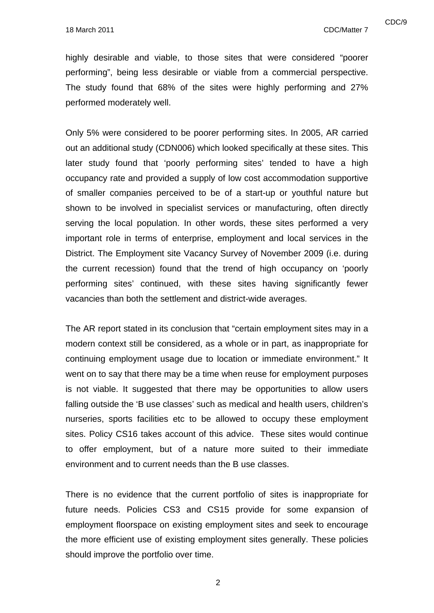highly desirable and viable, to those sites that were considered "poorer performing", being less desirable or viable from a commercial perspective. The study found that 68% of the sites were highly performing and 27% performed moderately well.

Only 5% were considered to be poorer performing sites. In 2005, AR carried out an additional study (CDN006) which looked specifically at these sites. This later study found that 'poorly performing sites' tended to have a high occupancy rate and provided a supply of low cost accommodation supportive of smaller companies perceived to be of a start-up or youthful nature but shown to be involved in specialist services or manufacturing, often directly serving the local population. In other words, these sites performed a very important role in terms of enterprise, employment and local services in the District. The Employment site Vacancy Survey of November 2009 (i.e. during the current recession) found that the trend of high occupancy on 'poorly performing sites' continued, with these sites having significantly fewer vacancies than both the settlement and district-wide averages.

The AR report stated in its conclusion that "certain employment sites may in a modern context still be considered, as a whole or in part, as inappropriate for continuing employment usage due to location or immediate environment." It went on to say that there may be a time when reuse for employment purposes is not viable. It suggested that there may be opportunities to allow users falling outside the 'B use classes' such as medical and health users, children's nurseries, sports facilities etc to be allowed to occupy these employment sites. Policy CS16 takes account of this advice. These sites would continue to offer employment, but of a nature more suited to their immediate environment and to current needs than the B use classes.

There is no evidence that the current portfolio of sites is inappropriate for future needs. Policies CS3 and CS15 provide for some expansion of employment floorspace on existing employment sites and seek to encourage the more efficient use of existing employment sites generally. These policies should improve the portfolio over time.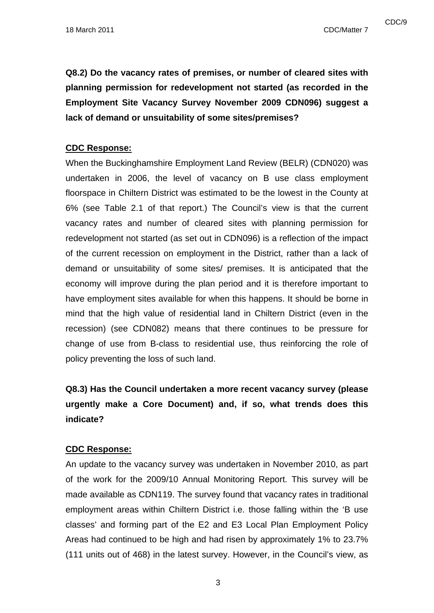cDC/9 and the contract of the contract of the contract of the contract of the contract of the contract of the contract of the contract of the contract of the contract of the contract of the contract of the contract of the

**Q8.2) Do the vacancy rates of premises, or number of cleared sites with planning permission for redevelopment not started (as recorded in the Employment Site Vacancy Survey November 2009 CDN096) suggest a lack of demand or unsuitability of some sites/premises?** 

### **CDC Response:**

When the Buckinghamshire Employment Land Review (BELR) (CDN020) was undertaken in 2006, the level of vacancy on B use class employment floorspace in Chiltern District was estimated to be the lowest in the County at 6% (see Table 2.1 of that report.) The Council's view is that the current vacancy rates and number of cleared sites with planning permission for redevelopment not started (as set out in CDN096) is a reflection of the impact of the current recession on employment in the District, rather than a lack of demand or unsuitability of some sites/ premises. It is anticipated that the economy will improve during the plan period and it is therefore important to have employment sites available for when this happens. It should be borne in mind that the high value of residential land in Chiltern District (even in the recession) (see CDN082) means that there continues to be pressure for change of use from B-class to residential use, thus reinforcing the role of policy preventing the loss of such land.

# **Q8.3) Has the Council undertaken a more recent vacancy survey (please urgently make a Core Document) and, if so, what trends does this indicate?**

# **CDC Response:**

An update to the vacancy survey was undertaken in November 2010, as part of the work for the 2009/10 Annual Monitoring Report. This survey will be made available as CDN119. The survey found that vacancy rates in traditional employment areas within Chiltern District i.e. those falling within the 'B use classes' and forming part of the E2 and E3 Local Plan Employment Policy Areas had continued to be high and had risen by approximately 1% to 23.7% (111 units out of 468) in the latest survey. However, in the Council's view, as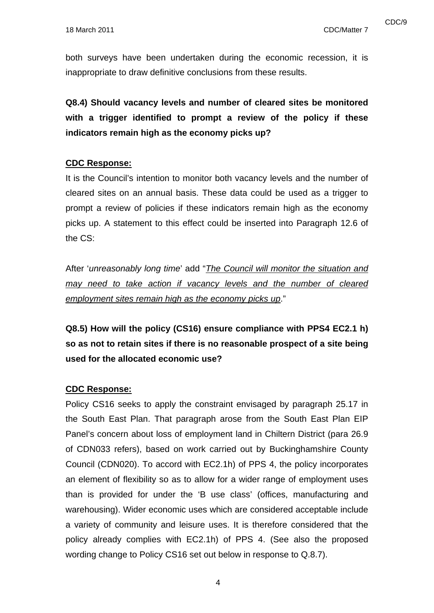both surveys have been undertaken during the economic recession, it is inappropriate to draw definitive conclusions from these results.

**Q8.4) Should vacancy levels and number of cleared sites be monitored with a trigger identified to prompt a review of the policy if these indicators remain high as the economy picks up?** 

#### **CDC Response:**

It is the Council's intention to monitor both vacancy levels and the number of cleared sites on an annual basis. These data could be used as a trigger to prompt a review of policies if these indicators remain high as the economy picks up. A statement to this effect could be inserted into Paragraph 12.6 of the CS:

After '*unreasonably long time*' add "*The Council will monitor the situation and may need to take action if vacancy levels and the number of cleared employment sites remain high as the economy picks up*."

**Q8.5) How will the policy (CS16) ensure compliance with PPS4 EC2.1 h) so as not to retain sites if there is no reasonable prospect of a site being used for the allocated economic use?** 

#### **CDC Response:**

Policy CS16 seeks to apply the constraint envisaged by paragraph 25.17 in the South East Plan. That paragraph arose from the South East Plan EIP Panel's concern about loss of employment land in Chiltern District (para 26.9 of CDN033 refers), based on work carried out by Buckinghamshire County Council (CDN020). To accord with EC2.1h) of PPS 4, the policy incorporates an element of flexibility so as to allow for a wider range of employment uses than is provided for under the 'B use class' (offices, manufacturing and warehousing). Wider economic uses which are considered acceptable include a variety of community and leisure uses. It is therefore considered that the policy already complies with EC2.1h) of PPS 4. (See also the proposed wording change to Policy CS16 set out below in response to Q.8.7).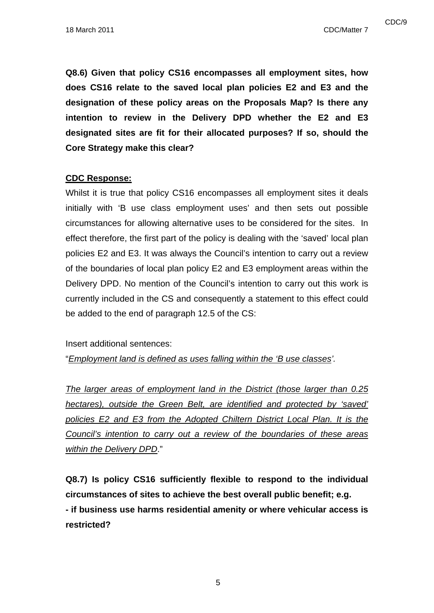**Q8.6) Given that policy CS16 encompasses all employment sites, how does CS16 relate to the saved local plan policies E2 and E3 and the designation of these policy areas on the Proposals Map? Is there any intention to review in the Delivery DPD whether the E2 and E3 designated sites are fit for their allocated purposes? If so, should the Core Strategy make this clear?** 

# **CDC Response:**

Whilst it is true that policy CS16 encompasses all employment sites it deals initially with 'B use class employment uses' and then sets out possible circumstances for allowing alternative uses to be considered for the sites. In effect therefore, the first part of the policy is dealing with the 'saved' local plan policies E2 and E3. It was always the Council's intention to carry out a review of the boundaries of local plan policy E2 and E3 employment areas within the Delivery DPD. No mention of the Council's intention to carry out this work is currently included in the CS and consequently a statement to this effect could be added to the end of paragraph 12.5 of the CS:

Insert additional sentences:

"*Employment land is defined as uses falling within the 'B use classes'.* 

*The larger areas of employment land in the District (those larger than 0.25 hectares), outside the Green Belt, are identified and protected by 'saved' policies E2 and E3 from the Adopted Chiltern District Local Plan. It is the Council's intention to carry out a review of the boundaries of these areas within the Delivery DPD*."

**Q8.7) Is policy CS16 sufficiently flexible to respond to the individual circumstances of sites to achieve the best overall public benefit; e.g. - if business use harms residential amenity or where vehicular access is restricted?**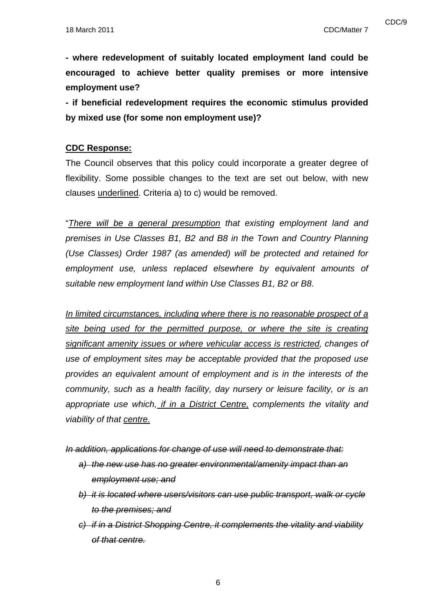**- where redevelopment of suitably located employment land could be encouraged to achieve better quality premises or more intensive** 

**employment use?** 

**- if beneficial redevelopment requires the economic stimulus provided by mixed use (for some non employment use)?** 

# **CDC Response:**

The Council observes that this policy could incorporate a greater degree of flexibility. Some possible changes to the text are set out below, with new clauses underlined. Criteria a) to c) would be removed.

"*There will be a general presumption that existing employment land and premises in Use Classes B1, B2 and B8 in the Town and Country Planning (Use Classes) Order 1987 (as amended) will be protected and retained for employment use, unless replaced elsewhere by equivalent amounts of suitable new employment land within Use Classes B1, B2 or B8*.

*In limited circumstances, including where there is no reasonable prospect of a site being used for the permitted purpose, or where the site is creating significant amenity issues or where vehicular access is restricted, changes of use of employment sites may be acceptable provided that the proposed use provides an equivalent amount of employment and is in the interests of the community, such as a health facility, day nursery or leisure facility, or is an appropriate use which, if in a District Centre, complements the vitality and viability of that centre.*

*In addition, applications for change of use will need to demonstrate that:*

- *a) the new use has no greater environmental/amenity impact than an employment use; and*
- *b) it is located where users/visitors can use public transport, walk or cycle to the premises; and*
- *c) if in a District Shopping Centre, it complements the vitality and viability of that centre.*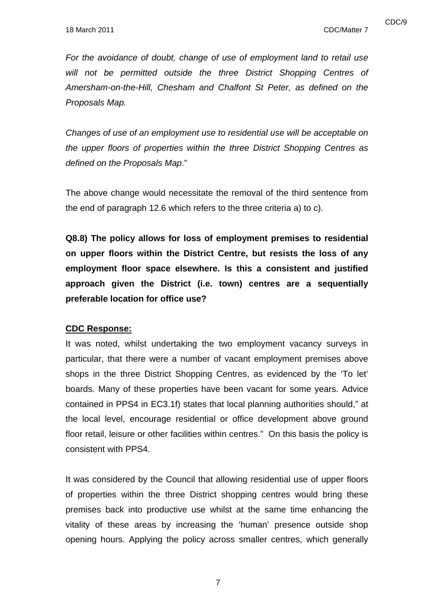*For the avoidance of doubt, change of use of employment land to retail use*  will not be permitted outside the three District Shopping Centres of *Amersham-on-the-Hill, Chesham and Chalfont St Peter, as defined on the Proposals Map.* 

*Changes of use of an employment use to residential use will be acceptable on the upper floors of properties within the three District Shopping Centres as defined on the Proposals Map*."

The above change would necessitate the removal of the third sentence from the end of paragraph 12.6 which refers to the three criteria a) to c).

**Q8.8) The policy allows for loss of employment premises to residential on upper floors within the District Centre, but resists the loss of any employment floor space elsewhere. Is this a consistent and justified approach given the District (i.e. town) centres are a sequentially preferable location for office use?** 

### **CDC Response:**

It was noted, whilst undertaking the two employment vacancy surveys in particular, that there were a number of vacant employment premises above shops in the three District Shopping Centres, as evidenced by the 'To let' boards. Many of these properties have been vacant for some years. Advice contained in PPS4 in EC3.1f) states that local planning authorities should," at the local level, encourage residential or office development above ground floor retail, leisure or other facilities within centres." On this basis the policy is consistent with PPS4.

It was considered by the Council that allowing residential use of upper floors of properties within the three District shopping centres would bring these premises back into productive use whilst at the same time enhancing the vitality of these areas by increasing the 'human' presence outside shop opening hours. Applying the policy across smaller centres, which generally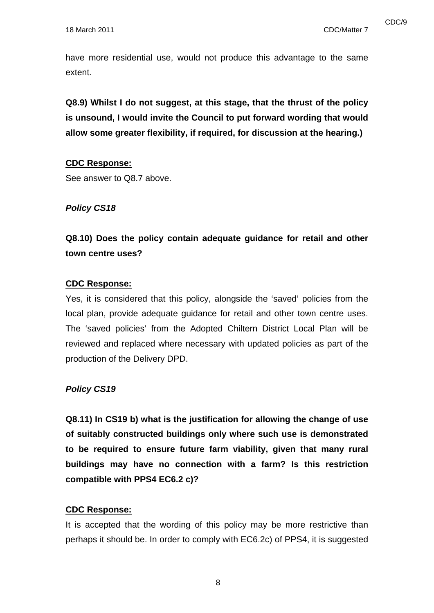have more residential use, would not produce this advantage to the same extent.

**Q8.9) Whilst I do not suggest, at this stage, that the thrust of the policy is unsound, I would invite the Council to put forward wording that would allow some greater flexibility, if required, for discussion at the hearing.)** 

### **CDC Response:**

See answer to Q8.7 above.

### *Policy CS18*

**Q8.10) Does the policy contain adequate guidance for retail and other town centre uses?** 

## **CDC Response:**

Yes, it is considered that this policy, alongside the 'saved' policies from the local plan, provide adequate guidance for retail and other town centre uses. The 'saved policies' from the Adopted Chiltern District Local Plan will be reviewed and replaced where necessary with updated policies as part of the production of the Delivery DPD.

#### *Policy CS19*

**Q8.11) In CS19 b) what is the justification for allowing the change of use of suitably constructed buildings only where such use is demonstrated to be required to ensure future farm viability, given that many rural buildings may have no connection with a farm? Is this restriction compatible with PPS4 EC6.2 c)?** 

#### **CDC Response:**

It is accepted that the wording of this policy may be more restrictive than perhaps it should be. In order to comply with EC6.2c) of PPS4, it is suggested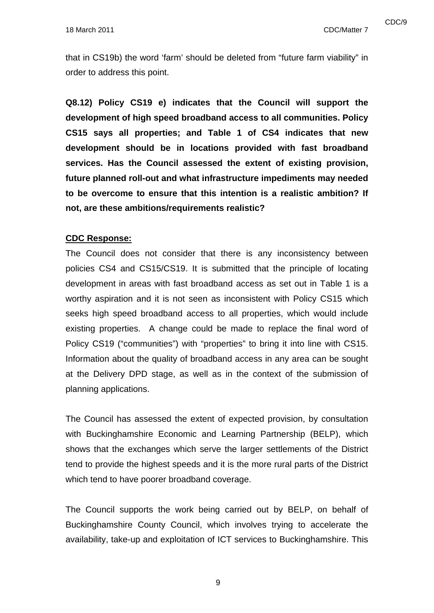that in CS19b) the word 'farm' should be deleted from "future farm viability" in order to address this point.

**Q8.12) Policy CS19 e) indicates that the Council will support the development of high speed broadband access to all communities. Policy CS15 says all properties; and Table 1 of CS4 indicates that new development should be in locations provided with fast broadband services. Has the Council assessed the extent of existing provision, future planned roll-out and what infrastructure impediments may needed to be overcome to ensure that this intention is a realistic ambition? If not, are these ambitions/requirements realistic?** 

### **CDC Response:**

The Council does not consider that there is any inconsistency between policies CS4 and CS15/CS19. It is submitted that the principle of locating development in areas with fast broadband access as set out in Table 1 is a worthy aspiration and it is not seen as inconsistent with Policy CS15 which seeks high speed broadband access to all properties, which would include existing properties. A change could be made to replace the final word of Policy CS19 ("communities") with "properties" to bring it into line with CS15. Information about the quality of broadband access in any area can be sought at the Delivery DPD stage, as well as in the context of the submission of planning applications.

The Council has assessed the extent of expected provision, by consultation with Buckinghamshire Economic and Learning Partnership (BELP), which shows that the exchanges which serve the larger settlements of the District tend to provide the highest speeds and it is the more rural parts of the District which tend to have poorer broadband coverage.

The Council supports the work being carried out by BELP, on behalf of Buckinghamshire County Council, which involves trying to accelerate the availability, take-up and exploitation of ICT services to Buckinghamshire. This